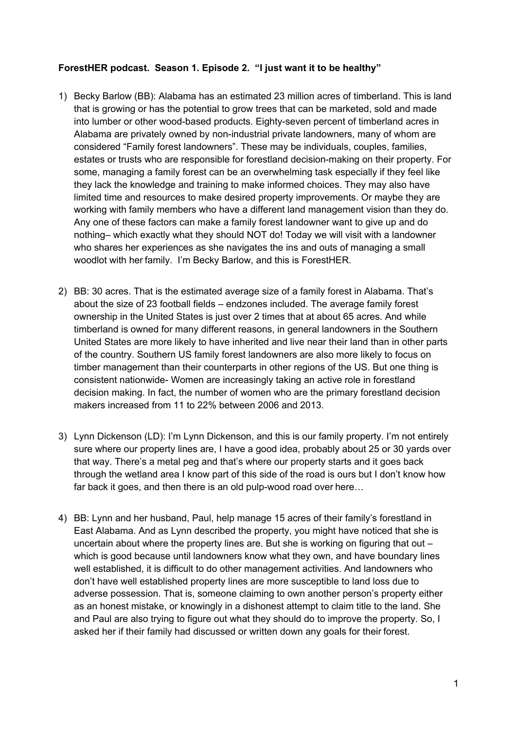## **ForestHER podcast. Season 1. Episode 2. "I just want it to be healthy"**

- 1) Becky Barlow (BB): Alabama has an estimated 23 million acres of timberland. This is land that is growing or has the potential to grow trees that can be marketed, sold and made into lumber or other wood-based products. Eighty-seven percent of timberland acres in Alabama are privately owned by non-industrial private landowners, many of whom are considered "Family forest landowners". These may be individuals, couples, families, estates or trusts who are responsible for forestland decision-making on their property. For some, managing a family forest can be an overwhelming task especially if they feel like they lack the knowledge and training to make informed choices. They may also have limited time and resources to make desired property improvements. Or maybe they are working with family members who have a different land management vision than they do. Any one of these factors can make a family forest landowner want to give up and do nothing– which exactly what they should NOT do! Today we will visit with a landowner who shares her experiences as she navigates the ins and outs of managing a small woodlot with her family. I'm Becky Barlow, and this is ForestHER.
- 2) BB: 30 acres. That is the estimated average size of a family forest in Alabama. That's about the size of 23 football fields – endzones included. The average family forest ownership in the United States is just over 2 times that at about 65 acres. And while timberland is owned for many different reasons, in general landowners in the Southern United States are more likely to have inherited and live near their land than in other parts of the country. Southern US family forest landowners are also more likely to focus on timber management than their counterparts in other regions of the US. But one thing is consistent nationwide- Women are increasingly taking an active role in forestland decision making. In fact, the number of women who are the primary forestland decision makers increased from 11 to 22% between 2006 and 2013.
- 3) Lynn Dickenson (LD): I'm Lynn Dickenson, and this is our family property. I'm not entirely sure where our property lines are, I have a good idea, probably about 25 or 30 yards over that way. There's a metal peg and that's where our property starts and it goes back through the wetland area I know part of this side of the road is ours but I don't know how far back it goes, and then there is an old pulp-wood road over here…
- 4) BB: Lynn and her husband, Paul, help manage 15 acres of their family's forestland in East Alabama. And as Lynn described the property, you might have noticed that she is uncertain about where the property lines are. But she is working on figuring that out – which is good because until landowners know what they own, and have boundary lines well established, it is difficult to do other management activities. And landowners who don't have well established property lines are more susceptible to land loss due to adverse possession. That is, someone claiming to own another person's property either as an honest mistake, or knowingly in a dishonest attempt to claim title to the land. She and Paul are also trying to figure out what they should do to improve the property. So, I asked her if their family had discussed or written down any goals for their forest.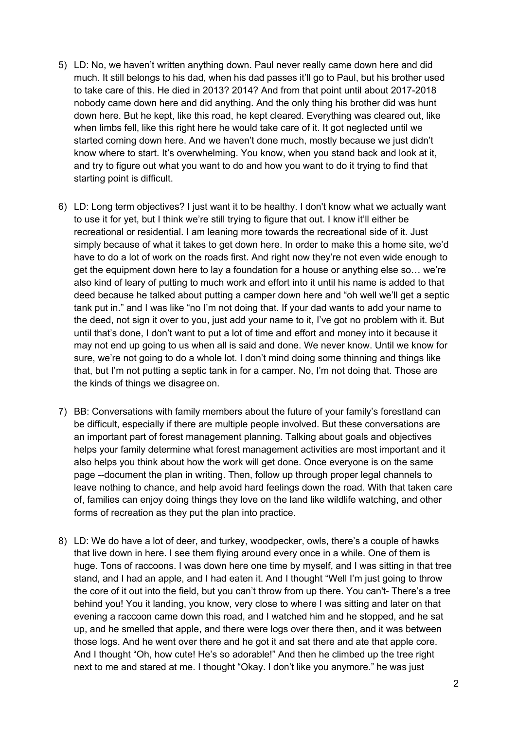- 5) LD: No, we haven't written anything down. Paul never really came down here and did much. It still belongs to his dad, when his dad passes it'll go to Paul, but his brother used to take care of this. He died in 2013? 2014? And from that point until about 2017-2018 nobody came down here and did anything. And the only thing his brother did was hunt down here. But he kept, like this road, he kept cleared. Everything was cleared out, like when limbs fell, like this right here he would take care of it. It got neglected until we started coming down here. And we haven't done much, mostly because we just didn't know where to start. It's overwhelming. You know, when you stand back and look at it, and try to figure out what you want to do and how you want to do it trying to find that starting point is difficult.
- 6) LD: Long term objectives? I just want it to be healthy. I don't know what we actually want to use it for yet, but I think we're still trying to figure that out. I know it'll either be recreational or residential. I am leaning more towards the recreational side of it. Just simply because of what it takes to get down here. In order to make this a home site, we'd have to do a lot of work on the roads first. And right now they're not even wide enough to get the equipment down here to lay a foundation for a house or anything else so… we're also kind of leary of putting to much work and effort into it until his name is added to that deed because he talked about putting a camper down here and "oh well we'll get a septic tank put in." and I was like "no I'm not doing that. If your dad wants to add your name to the deed, not sign it over to you, just add your name to it, I've got no problem with it. But until that's done, I don't want to put a lot of time and effort and money into it because it may not end up going to us when all is said and done. We never know. Until we know for sure, we're not going to do a whole lot. I don't mind doing some thinning and things like that, but I'm not putting a septic tank in for a camper. No, I'm not doing that. Those are the kinds of things we disagree on.
- 7) BB: Conversations with family members about the future of your family's forestland can be difficult, especially if there are multiple people involved. But these conversations are an important part of forest management planning. Talking about goals and objectives helps your family determine what forest management activities are most important and it also helps you think about how the work will get done. Once everyone is on the same page --document the plan in writing. Then, follow up through proper legal channels to leave nothing to chance, and help avoid hard feelings down the road. With that taken care of, families can enjoy doing things they love on the land like wildlife watching, and other forms of recreation as they put the plan into practice.
- 8) LD: We do have a lot of deer, and turkey, woodpecker, owls, there's a couple of hawks that live down in here. I see them flying around every once in a while. One of them is huge. Tons of raccoons. I was down here one time by myself, and I was sitting in that tree stand, and I had an apple, and I had eaten it. And I thought "Well I'm just going to throw the core of it out into the field, but you can't throw from up there. You can't- There's a tree behind you! You it landing, you know, very close to where I was sitting and later on that evening a raccoon came down this road, and I watched him and he stopped, and he sat up, and he smelled that apple, and there were logs over there then, and it was between those logs. And he went over there and he got it and sat there and ate that apple core. And I thought "Oh, how cute! He's so adorable!" And then he climbed up the tree right next to me and stared at me. I thought "Okay. I don't like you anymore." he was just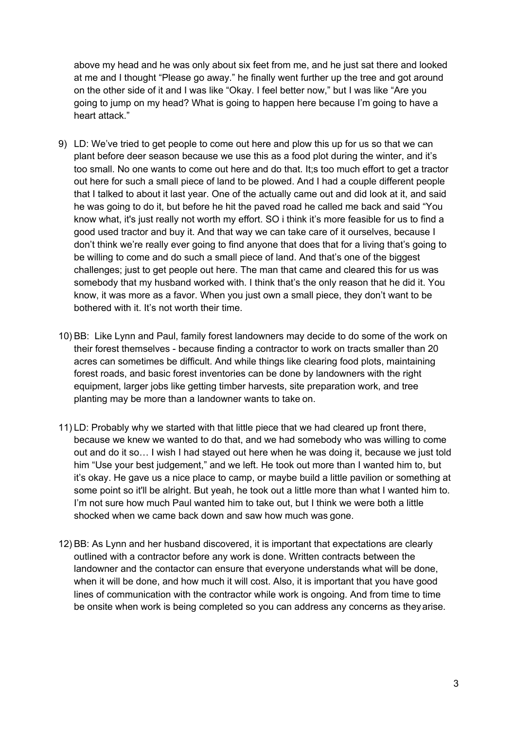above my head and he was only about six feet from me, and he just sat there and looked at me and I thought "Please go away." he finally went further up the tree and got around on the other side of it and I was like "Okay. I feel better now," but I was like "Are you going to jump on my head? What is going to happen here because I'm going to have a heart attack."

- 9) LD: We've tried to get people to come out here and plow this up for us so that we can plant before deer season because we use this as a food plot during the winter, and it's too small. No one wants to come out here and do that. It;s too much effort to get a tractor out here for such a small piece of land to be plowed. And I had a couple different people that I talked to about it last year. One of the actually came out and did look at it, and said he was going to do it, but before he hit the paved road he called me back and said "You know what, it's just really not worth my effort. SO i think it's more feasible for us to find a good used tractor and buy it. And that way we can take care of it ourselves, because I don't think we're really ever going to find anyone that does that for a living that's going to be willing to come and do such a small piece of land. And that's one of the biggest challenges; just to get people out here. The man that came and cleared this for us was somebody that my husband worked with. I think that's the only reason that he did it. You know, it was more as a favor. When you just own a small piece, they don't want to be bothered with it. It's not worth their time.
- 10) BB: Like Lynn and Paul, family forest landowners may decide to do some of the work on their forest themselves - because finding a contractor to work on tracts smaller than 20 acres can sometimes be difficult. And while things like clearing food plots, maintaining forest roads, and basic forest inventories can be done by landowners with the right equipment, larger jobs like getting timber harvests, site preparation work, and tree planting may be more than a landowner wants to take on.
- 11) LD: Probably why we started with that little piece that we had cleared up front there, because we knew we wanted to do that, and we had somebody who was willing to come out and do it so… I wish I had stayed out here when he was doing it, because we just told him "Use your best judgement," and we left. He took out more than I wanted him to, but it's okay. He gave us a nice place to camp, or maybe build a little pavilion or something at some point so it'll be alright. But yeah, he took out a little more than what I wanted him to. I'm not sure how much Paul wanted him to take out, but I think we were both a little shocked when we came back down and saw how much was gone.
- 12) BB: As Lynn and her husband discovered, it is important that expectations are clearly outlined with a contractor before any work is done. Written contracts between the landowner and the contactor can ensure that everyone understands what will be done, when it will be done, and how much it will cost. Also, it is important that you have good lines of communication with the contractor while work is ongoing. And from time to time be onsite when work is being completed so you can address any concerns as theyarise.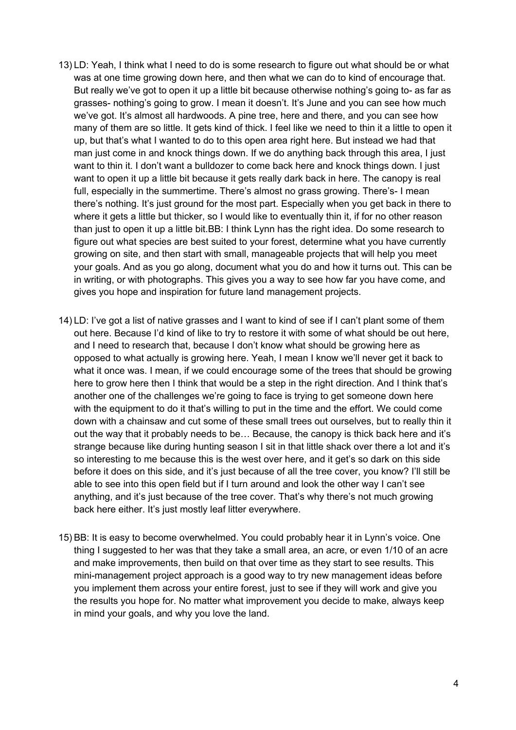- 13) LD: Yeah, I think what I need to do is some research to figure out what should be or what was at one time growing down here, and then what we can do to kind of encourage that. But really we've got to open it up a little bit because otherwise nothing's going to- as far as grasses- nothing's going to grow. I mean it doesn't. It's June and you can see how much we've got. It's almost all hardwoods. A pine tree, here and there, and you can see how many of them are so little. It gets kind of thick. I feel like we need to thin it a little to open it up, but that's what I wanted to do to this open area right here. But instead we had that man just come in and knock things down. If we do anything back through this area, I just want to thin it. I don't want a bulldozer to come back here and knock things down. I just want to open it up a little bit because it gets really dark back in here. The canopy is real full, especially in the summertime. There's almost no grass growing. There's- I mean there's nothing. It's just ground for the most part. Especially when you get back in there to where it gets a little but thicker, so I would like to eventually thin it, if for no other reason than just to open it up a little bit.BB: I think Lynn has the right idea. Do some research to figure out what species are best suited to your forest, determine what you have currently growing on site, and then start with small, manageable projects that will help you meet your goals. And as you go along, document what you do and how it turns out. This can be in writing, or with photographs. This gives you a way to see how far you have come, and gives you hope and inspiration for future land management projects.
- 14) LD: I've got a list of native grasses and I want to kind of see if I can't plant some of them out here. Because I'd kind of like to try to restore it with some of what should be out here, and I need to research that, because I don't know what should be growing here as opposed to what actually is growing here. Yeah, I mean I know we'll never get it back to what it once was. I mean, if we could encourage some of the trees that should be growing here to grow here then I think that would be a step in the right direction. And I think that's another one of the challenges we're going to face is trying to get someone down here with the equipment to do it that's willing to put in the time and the effort. We could come down with a chainsaw and cut some of these small trees out ourselves, but to really thin it out the way that it probably needs to be… Because, the canopy is thick back here and it's strange because like during hunting season I sit in that little shack over there a lot and it's so interesting to me because this is the west over here, and it get's so dark on this side before it does on this side, and it's just because of all the tree cover, you know? I'll still be able to see into this open field but if I turn around and look the other way I can't see anything, and it's just because of the tree cover. That's why there's not much growing back here either. It's just mostly leaf litter everywhere.
- 15) BB: It is easy to become overwhelmed. You could probably hear it in Lynn's voice. One thing I suggested to her was that they take a small area, an acre, or even 1/10 of an acre and make improvements, then build on that over time as they start to see results. This mini-management project approach is a good way to try new management ideas before you implement them across your entire forest, just to see if they will work and give you the results you hope for. No matter what improvement you decide to make, always keep in mind your goals, and why you love the land.